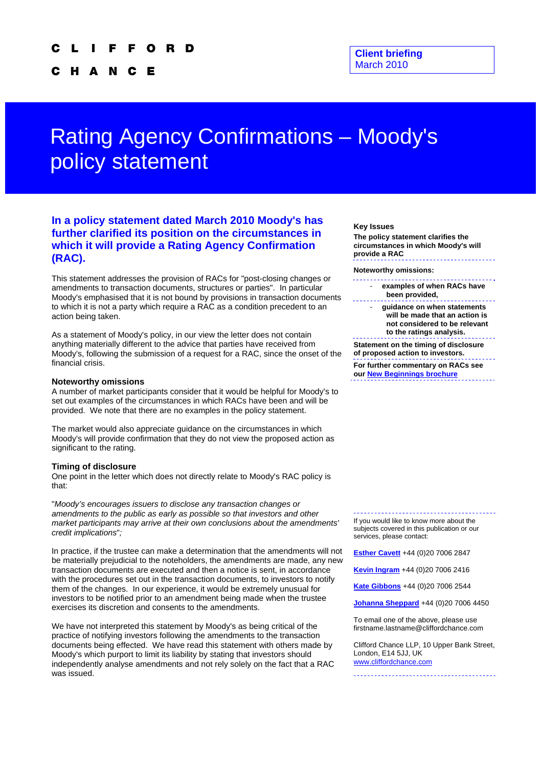N C H A **C** Е

# Rating Agency Confirmations – Moody's policy statement

# **In a policy statement dated March 2010 Moody's has further clarified its position on the circumstances in which it will provide a Rating Agency Confirmation (RAC).**

This statement addresses the provision of RACs for "post-closing changes or amendments to transaction documents, structures or parties". In particular Moody's emphasised that it is not bound by provisions in transaction documents to which it is not a party which require a RAC as a condition precedent to an action being taken.

As a statement of Moody's policy, in our view the letter does not contain anything materially different to the advice that parties have received from Moody's, following the submission of a request for a RAC, since the onset of the financial crisis.

### **Noteworthy omissions**

A number of market participants consider that it would be helpful for Moody's to set out examples of the circumstances in which RACs have been and will be provided. We note that there are no examples in the policy statement.

The market would also appreciate guidance on the circumstances in which Moody's will provide confirmation that they do not view the proposed action as significant to the rating.

#### **Timing of disclosure**

One point in the letter which does not directly relate to Moody's RAC policy is that:

"*Moody's encourages issuers to disclose any transaction changes or amendments to the public as early as possible so that investors and other market participants may arrive at their own conclusions about the amendments' credit implications*"*;*

In practice, if the trustee can make a determination that the amendments will not be materially prejudicial to the noteholders, the amendments are made, any new transaction documents are executed and then a notice is sent, in accordance with the procedures set out in the transaction documents, to investors to notify them of the changes. In our experience, it would be extremely unusual for investors to be notified prior to an amendment being made when the trustee exercises its discretion and consents to the amendments.

We have not interpreted this statement by Moody's as being critical of the practice of notifying investors following the amendments to the transaction documents being effected. We have read this statement with others made by Moody's which purport to limit its liability by stating that investors should independently analyse amendments and not rely solely on the fact that a RAC was issued.

#### **Key Issues**

**The policy statement clarifies the circumstances in which Moody's will provide a RAC** 

**Noteworthy omissions:** 

- **examples of when RACs have been provided,**
- **guidance on when statements will be made that an action is not considered to be relevant to the ratings analysis.**

**Statement on the timing of disclosure of proposed action to investors.** 

**For further commentary on RACs see our [New Beginnings brochure](http://www.cliffordchance.com/expertise/publications/details.aspx?FilterName=@URL&LangID=UK&contentitemid=16428)** 

If you would like to know more about the subjects covered in this publication or our services, please contact:

**[Esther Cavett](mailto:esther.cavett@cliffordchance.com)** +44 (0)20 7006 2847

**[Kevin Ingram](mailto:Kevin.Ingram@cliffordchance.com)** +44 (0)20 7006 2416

**[Kate Gibbons](mailto:Kate.Gibbons@cliffordchance.com)** +44 (0)20 7006 2544

**[Johanna Sheppard](mailto:Johanna.Sheppard@CliffordChance.com)** +44 (0)20 7006 4450

To email one of the above, please use firstname.lastname@cliffordchance.com

Clifford Chance LLP, 10 Upper Bank Street, London, E14 5JJ, UK [www.cliffordchance.com](http://www.cliffordchance.com/)